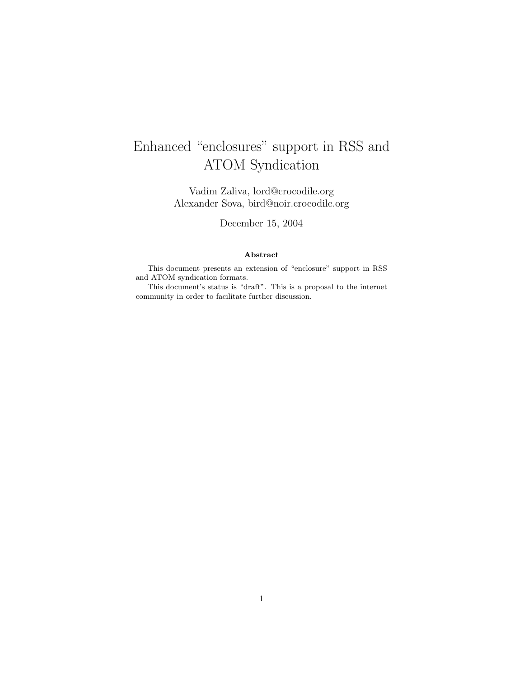# Enhanced "enclosures" support in RSS and ATOM Syndication

Vadim Zaliva, lord@crocodile.org Alexander Sova, bird@noir.crocodile.org

December 15, 2004

#### Abstract

This document presents an extension of "enclosure" support in RSS and ATOM syndication formats.

This document's status is "draft". This is a proposal to the internet community in order to facilitate further discussion.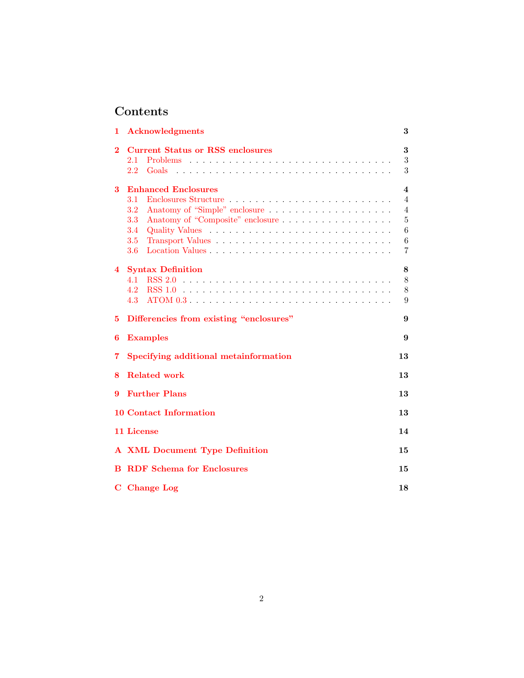## Contents

| 1        | <b>Acknowledgments</b>                                         | 3                       |
|----------|----------------------------------------------------------------|-------------------------|
| $\bf{2}$ | <b>Current Status or RSS enclosures</b><br>2.1<br>2.2<br>Goals | 3<br>3<br>3             |
| 3        | <b>Enhanced Enclosures</b>                                     | $\overline{\mathbf{4}}$ |
|          | 3.1                                                            | $\overline{4}$          |
|          | 3.2                                                            | 4                       |
|          | 3.3<br>Anatomy of "Composite" enclosure                        | $\overline{5}$          |
|          | 3.4                                                            | 6                       |
|          | 3.5                                                            | 6                       |
|          | 3.6                                                            | $\overline{7}$          |
| 4        | <b>Syntax Definition</b>                                       | 8                       |
|          | 4.1                                                            | 8                       |
|          | 4.2                                                            | 8                       |
|          | 4.3                                                            | 9                       |
| 5        | Differencies from existing "enclosures"                        | 9                       |
| 6        | <b>Examples</b>                                                | 9                       |
| 7        | Specifying additional metainformation                          | 13                      |
| 8        | <b>Related work</b>                                            | 13                      |
| 9        | <b>Further Plans</b>                                           | 13                      |
|          | <b>10 Contact Information</b>                                  | 13                      |
|          | 11 License                                                     | 14                      |
|          | <b>A XML Document Type Definition</b>                          | 15                      |
|          | <b>B</b> RDF Schema for Enclosures                             | 15                      |
|          | C Change Log                                                   | 18                      |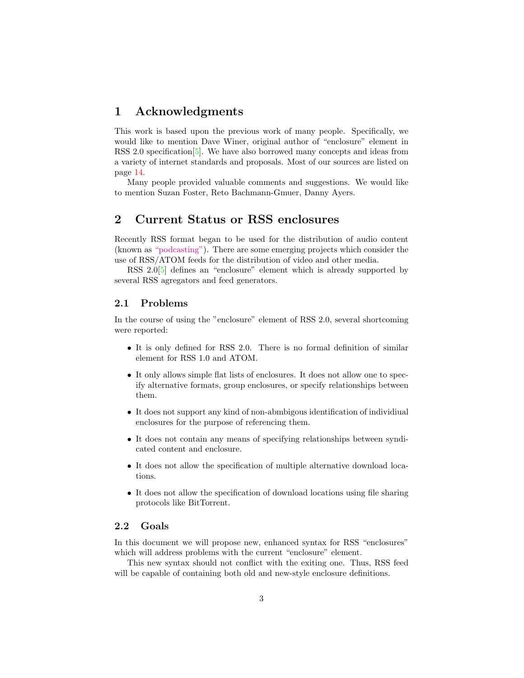### <span id="page-2-0"></span>1 Acknowledgments

This work is based upon the previous work of many people. Specifically, we would like to mention Dave Winer, original author of "enclosure" element in RSS 2.0 specification  $[5]$ . We have also borrowed many concepts and ideas from a variety of internet standards and proposals. Most of our sources are listed on page [14.](#page-13-2)

Many people provided valuable comments and suggestions. We would like to mention Suzan Foster, Reto Bachmann-Gmuer, Danny Ayers.

### <span id="page-2-1"></span>2 Current Status or RSS enclosures

Recently RSS format began to be used for the distribution of audio content (known as ["podcasting"\)](http://en.wikipedia.org/wiki/Podcasting). There are some emerging projects which consider the use of RSS/ATOM feeds for the distribution of video and other media.

RSS 2.0[\[5\]](#page-13-1) defines an "enclosure" element which is already supported by several RSS agregators and feed generators.

#### <span id="page-2-2"></span>2.1 Problems

In the course of using the "enclosure" element of RSS 2.0, several shortcoming were reported:

- It is only defined for RSS 2.0. There is no formal definition of similar element for RSS 1.0 and ATOM.
- It only allows simple flat lists of enclosures. It does not allow one to specify alternative formats, group enclosures, or specify relationships between them.
- It does not support any kind of non-abmbigous identification of individiual enclosures for the purpose of referencing them.
- It does not contain any means of specifying relationships between syndicated content and enclosure.
- It does not allow the specification of multiple alternative download locations.
- It does not allow the specification of download locations using file sharing protocols like BitTorrent.

#### <span id="page-2-3"></span>2.2 Goals

In this document we will propose new, enhanced syntax for RSS "enclosures" which will address problems with the current "enclosure" element.

This new syntax should not conflict with the exiting one. Thus, RSS feed will be capable of containing both old and new-style enclosure definitions.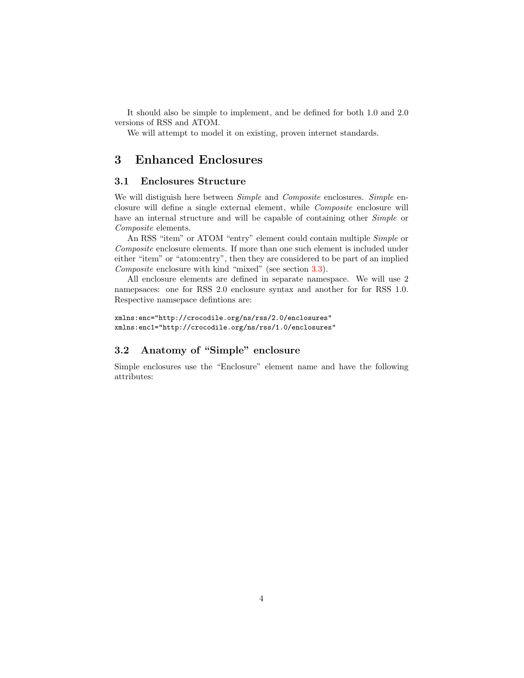It should also be simple to implement, and be defined for both 1.0 and 2.0 versions of RSS and ATOM.

We will attempt to model it on existing, proven internet standards.

### <span id="page-3-0"></span>3 Enhanced Enclosures

#### <span id="page-3-1"></span>3.1 Enclosures Structure

We will distiguish here between Simple and Composite enclosures. Simple enclosure will define a single external element, while Composite enclosure will have an internal structure and will be capable of containing other *Simple* or Composite elements.

An RSS "item" or ATOM "entry" element could contain multiple Simple or Composite enclosure elements. If more than one such element is included under either "item" or "atom:entry", then they are considered to be part of an implied Composite enclosure with kind "mixed" (see section [3.3\)](#page-4-0).

All enclosure elements are defined in separate namespace. We will use 2 namepsaces: one for RSS 2.0 enclosure syntax and another for for RSS 1.0. Respective namsepace defintions are:

```
xmlns:enc="http://crocodile.org/ns/rss/2.0/enclosures"
xmlns:enc1="http://crocodile.org/ns/rss/1.0/enclosures"
```
### <span id="page-3-2"></span>3.2 Anatomy of "Simple" enclosure

Simple enclosures use the "Enclosure" element name and have the following attributes: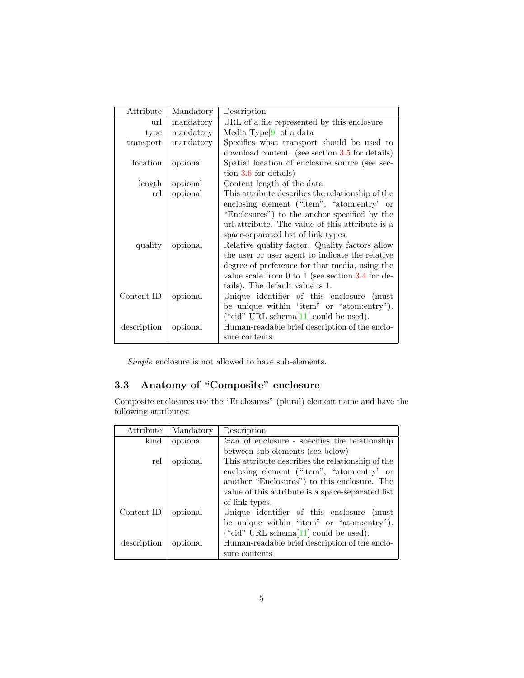| Attribute    | Mandatory | Description                                            |
|--------------|-----------|--------------------------------------------------------|
| url          | mandatory | URL of a file represented by this enclosure            |
| type         | mandatory | Media Type <sup>[9]</sup> of a data                    |
| transport    | mandatory | Specifies what transport should be used to             |
|              |           | download content. (see section 3.5 for details)        |
| location     | optional  | Spatial location of enclosure source (see sec-         |
|              |           | tion 3.6 for details)                                  |
| length       | optional  | Content length of the data                             |
| rel          | optional  | This attribute describes the relationship of the       |
|              |           | enclosing element ("item", "atom:entry" or             |
|              |           | "Enclosures") to the anchor specified by the           |
|              |           | url attribute. The value of this attribute is a        |
|              |           | space-separated list of link types.                    |
| quality      | optional  | Relative quality factor. Quality factors allow         |
|              |           | the user or user agent to indicate the relative        |
|              |           | degree of preference for that media, using the         |
|              |           | value scale from $0$ to $1$ (see section $3.4$ for de- |
|              |           | tails). The default value is 1.                        |
| $Content-ID$ | optional  | Unique identifier of this enclosure (must              |
|              |           | be unique within "item" or "atom:entry").              |
|              |           | ("cid" URL schema $[11]$ could be used).               |
| description  | optional  | Human-readable brief description of the enclo-         |
|              |           | sure contents.                                         |

 $Simple$  enclosure is not allowed to have sub-elements.

### <span id="page-4-0"></span>3.3 Anatomy of "Composite" enclosure

Composite enclosures use the "Enclosures" (plural) element name and have the following attributes:

| Attribute   | Mandatory | Description                                           |
|-------------|-----------|-------------------------------------------------------|
| kind        | optional  | <i>kind</i> of enclosure - specifies the relationship |
|             |           | between sub-elements (see below)                      |
| rel         | optional  | This attribute describes the relationship of the      |
|             |           | enclosing element ("item", "atom:entry" or            |
|             |           | another "Enclosures") to this enclosure. The          |
|             |           | value of this attribute is a space-separated list     |
|             |           | of link types.                                        |
| Content-ID  | optional  | Unique identifier of this enclosure<br>(must)         |
|             |           | be unique within "item" or "atom:entry").             |
|             |           | ("cid" URL schema $[11]$ could be used).              |
| description | optional  | Human-readable brief description of the enclo-        |
|             |           | sure contents                                         |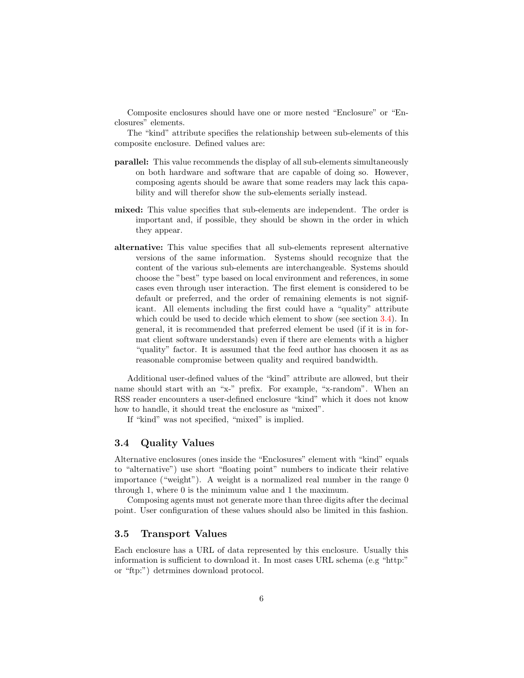Composite enclosures should have one or more nested "Enclosure" or "Enclosures" elements.

The "kind" attribute specifies the relationship between sub-elements of this composite enclosure. Defined values are:

- parallel: This value recommends the display of all sub-elements simultaneously on both hardware and software that are capable of doing so. However, composing agents should be aware that some readers may lack this capability and will therefor show the sub-elements serially instead.
- mixed: This value specifies that sub-elements are independent. The order is important and, if possible, they should be shown in the order in which they appear.
- alternative: This value specifies that all sub-elements represent alternative versions of the same information. Systems should recognize that the content of the various sub-elements are interchangeable. Systems should choose the "best" type based on local environment and references, in some cases even through user interaction. The first element is considered to be default or preferred, and the order of remaining elements is not significant. All elements including the first could have a "quality" attribute which could be used to decide which element to show (see section [3.4\)](#page-5-0). In general, it is recommended that preferred element be used (if it is in format client software understands) even if there are elements with a higher "quality" factor. It is assumed that the feed author has choosen it as as reasonable compromise between quality and required bandwidth.

Additional user-defined values of the "kind" attribute are allowed, but their name should start with an "x-" prefix. For example, "x-random". When an RSS reader encounters a user-defined enclosure "kind" which it does not know how to handle, it should treat the enclosure as "mixed".

If "kind" was not specified, "mixed" is implied.

#### <span id="page-5-0"></span>3.4 Quality Values

Alternative enclosures (ones inside the "Enclosures" element with "kind" equals to "alternative") use short "floating point" numbers to indicate their relative importance ("weight"). A weight is a normalized real number in the range 0 through 1, where 0 is the minimum value and 1 the maximum.

Composing agents must not generate more than three digits after the decimal point. User configuration of these values should also be limited in this fashion.

#### <span id="page-5-1"></span>3.5 Transport Values

Each enclosure has a URL of data represented by this enclosure. Usually this information is sufficient to download it. In most cases URL schema (e.g "http:" or "ftp:") detrmines download protocol.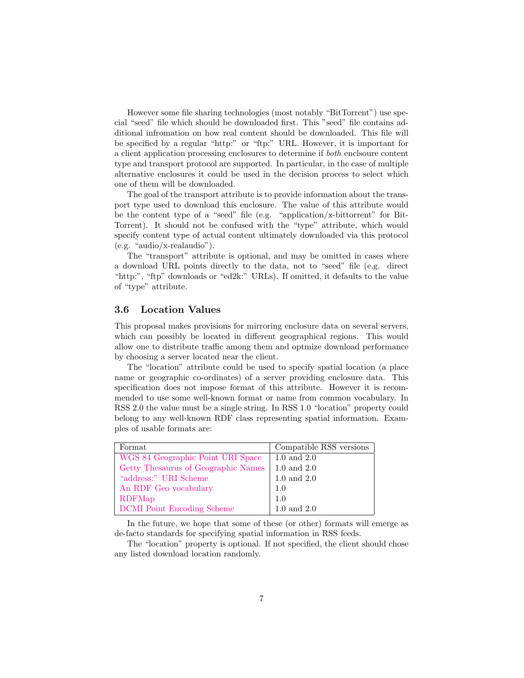However some file sharing technologies (most notably "BitTorrent") use special "seed" file which should be downloaded first. This "seed" file contains additional infromation on how real content should be downloaded. This file will be specified by a regular "http:" or "ftp:" URL. However, it is important for a client application processing enclosures to determine if both enclsoure content type and transport protocol are supported. In particular, in the case of multiple alternative enclosures it could be used in the decision process to select which one of them will be downloaded.

The goal of the transport attribute is to provide information about the transport type used to download this enclosure. The value of this attribute would be the content type of a "seed" file (e.g. "application/x-bittorrent" for Bit-Torrent). It should not be confused with the "type" attribute, which would specify content type of actual content ultimately downloaded via this protocol (e.g. "audio/x-realaudio").

The "transport" attribute is optional, and may be omitted in cases where a download URL points directly to the data, not to "seed" file (e.g. direct "http:", "ftp" downloads or "ed2k:" URLs). If omitted, it defaults to the value of "type" attribute.

#### <span id="page-6-0"></span>3.6 Location Values

This proposal makes provisions for mirroring enclosure data on several servers, which can possibly be located in different geographical regions. This would allow one to distribute traffic among them and optmize download performance by choosing a server located near the client.

The "location" attribute could be used to specify spatial location (a place name or geographic co-ordinates) of a server providing enclosure data. This specification does not impose format of this attribute. However it is recommended to use some well-known format or name from common vocabulary. In RSS 2.0 the value must be a single string. In RSS 1.0 "location" property could belong to any well-known RDF class representing spatial information. Examples of usable formats are:

| Format                              | Compatible RSS versions |
|-------------------------------------|-------------------------|
| WGS 84 Geographic Point URI Space   | $1.0$ and $2.0$         |
| Getty Thesaurus of Geographic Names | $1.0$ and $2.0$         |
| "address:" URI Scheme               | $1.0$ and $2.0$         |
| An RDF Geo vocabulary               | 1.0                     |
| RDFMap                              | 1.0                     |
| <b>DCMI</b> Point Encoding Scheme   | $1.0$ and $2.0$         |

In the future, we hope that some of these (or other) formats will emerge as de-facto standards for specifying spatial information in RSS feeds.

The "location" property is optional. If not specified, the client should chose any listed download location randomly.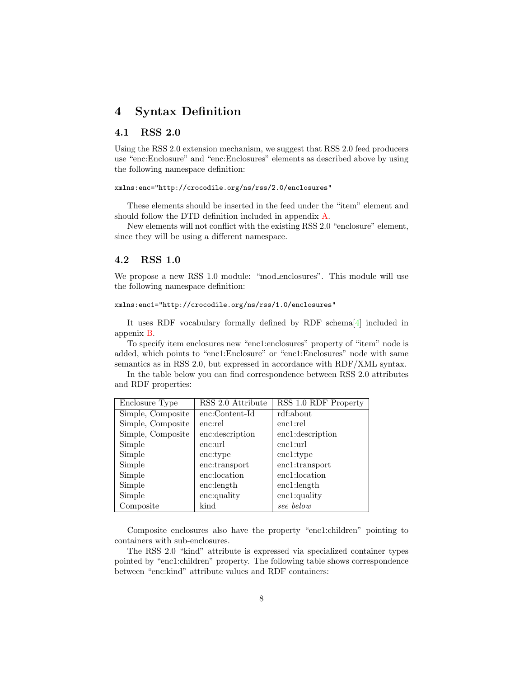### <span id="page-7-0"></span>4 Syntax Definition

#### <span id="page-7-1"></span>4.1 RSS 2.0

Using the RSS 2.0 extension mechanism, we suggest that RSS 2.0 feed producers use "enc:Enclosure" and "enc:Enclosures" elements as described above by using the following namespace definition:

#### xmlns:enc="http://crocodile.org/ns/rss/2.0/enclosures"

These elements should be inserted in the feed under the "item" element and should follow the DTD definition included in appendix [A.](#page-14-0)

New elements will not conflict with the existing RSS 2.0 "enclosure" element, since they will be using a different namespace.

#### <span id="page-7-2"></span>4.2 RSS 1.0

We propose a new RSS 1.0 module: "mod\_enclosures". This module will use the following namespace definition:

#### xmlns:enc1="http://crocodile.org/ns/rss/1.0/enclosures"

It uses RDF vocabulary formally defined by RDF schema[\[4\]](#page-13-5) included in appenix [B.](#page-14-1)

To specify item enclosures new "enc1:enclosures" property of "item" node is added, which points to "enc1:Enclosure" or "enc1:Enclosures" node with same semantics as in RSS 2.0, but expressed in accordance with RDF/XML syntax.

In the table below you can find correspondence between RSS 2.0 attributes and RDF properties:

| Enclosure Type    | RSS 2.0 Attribute | RSS 1.0 RDF Property |
|-------------------|-------------------|----------------------|
| Simple, Composite | enc:Content-Id    | rdf:about            |
| Simple, Composite | enc:rel           | enc1:rel             |
| Simple, Composite | enc:description   | enc1:description     |
| Simple            | enc:url           | enc1:url             |
| Simple            | enc:type          | enc1:type            |
| Simple            | enc:transport     | enc1:transport       |
| Simple            | enc:location      | enc1:location        |
| Simple            | enc: length       | enc1:length          |
| Simple            | enc:quality       | enc1:quality         |
| Composite         | kind              | see below            |

Composite enclosures also have the property "enc1:children" pointing to containers with sub-enclosures.

The RSS 2.0 "kind" attribute is expressed via specialized container types pointed by "enc1:children" property. The following table shows correspondence between "enc:kind" attribute values and RDF containers: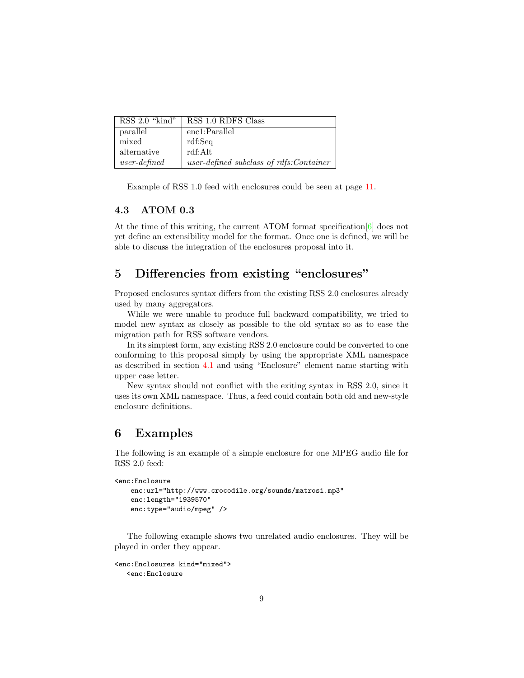| $RSS 2.0$ "kind" | RSS 1.0 RDFS Class                       |
|------------------|------------------------------------------|
| parallel         | enc1:Parallel                            |
| mixed            | rdf:Seq                                  |
| alternative      | rdf:Alt                                  |
| $user-defined$   | user-defined subclass of rdfs: Container |

Example of RSS 1.0 feed with enclosures could be seen at page [11.](#page-8-2)

#### <span id="page-8-0"></span>4.3 ATOM 0.3

At the time of this writing, the current ATOM format specification[\[6\]](#page-13-6) does not yet define an extensibility model for the format. Once one is defined, we will be able to discuss the integration of the enclosures proposal into it.

### <span id="page-8-1"></span>5 Differencies from existing "enclosures"

Proposed enclosures syntax differs from the existing RSS 2.0 enclosures already used by many aggregators.

While we were unable to produce full backward compatibility, we tried to model new syntax as closely as possible to the old syntax so as to ease the migration path for RSS software vendors.

In its simplest form, any existing RSS 2.0 enclosure could be converted to one conforming to this proposal simply by using the appropriate XML namespace as described in section [4.1](#page-7-1) and using "Enclosure" element name starting with upper case letter.

New syntax should not conflict with the exiting syntax in RSS 2.0, since it uses its own XML namespace. Thus, a feed could contain both old and new-style enclosure definitions.

### <span id="page-8-2"></span>6 Examples

The following is an example of a simple enclosure for one MPEG audio file for RSS 2.0 feed:

```
<enc:Enclosure
   enc:url="http://www.crocodile.org/sounds/matrosi.mp3"
   enc:length="1939570"
   enc:type="audio/mpeg" />
```
The following example shows two unrelated audio enclosures. They will be played in order they appear.

```
<enc:Enclosures kind="mixed">
  <enc:Enclosure
```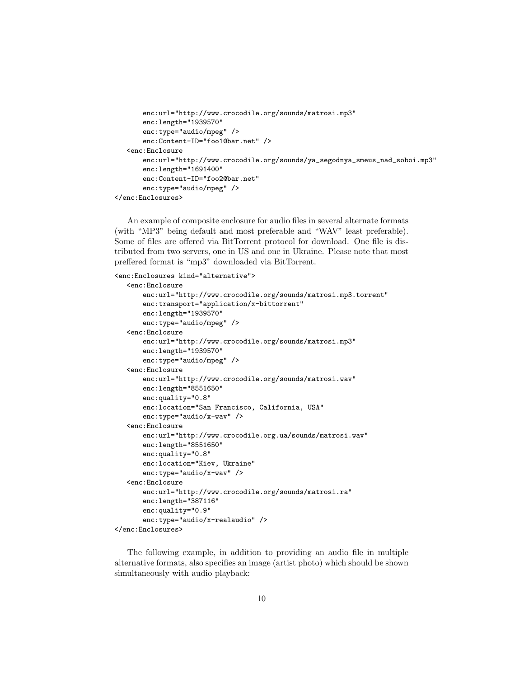```
enc:url="http://www.crocodile.org/sounds/matrosi.mp3"
      enc:length="1939570"
      enc:type="audio/mpeg" />
      enc:Content-ID="foo1@bar.net" />
  <enc:Enclosure
      enc:url="http://www.crocodile.org/sounds/ya_segodnya_smeus_nad_soboi.mp3"
      enc:length="1691400"
      enc:Content-ID="foo2@bar.net"
      enc:type="audio/mpeg" />
</enc:Enclosures>
```
An example of composite enclosure for audio files in several alternate formats (with "MP3" being default and most preferable and "WAV" least preferable). Some of files are offered via BitTorrent protocol for download. One file is distributed from two servers, one in US and one in Ukraine. Please note that most preffered format is "mp3" downloaded via BitTorrent.

```
<enc:Enclosures kind="alternative">
```

```
<enc:Enclosure
      enc:url="http://www.crocodile.org/sounds/matrosi.mp3.torrent"
      enc:transport="application/x-bittorrent"
      enc:length="1939570"
      enc:type="audio/mpeg" />
  <enc:Enclosure
      enc:url="http://www.crocodile.org/sounds/matrosi.mp3"
      enc:length="1939570"
      enc:type="audio/mpeg" />
  <enc:Enclosure
      enc:url="http://www.crocodile.org/sounds/matrosi.wav"
      enc:length="8551650"
      enc:quality="0.8"
      enc:location="San Francisco, California, USA"
      enc:type="audio/x-wav" />
  <enc:Enclosure
      enc:url="http://www.crocodile.org.ua/sounds/matrosi.wav"
      enc:length="8551650"
      enc:quality="0.8"
      enc:location="Kiev, Ukraine"
      enc:type="audio/x-wav" />
  <enc:Enclosure
      enc:url="http://www.crocodile.org/sounds/matrosi.ra"
      enc:length="387116"
      enc:quality="0.9"
      enc:type="audio/x-realaudio" />
</enc:Enclosures>
```
The following example, in addition to providing an audio file in multiple alternative formats, also specifies an image (artist photo) which should be shown simultaneously with audio playback: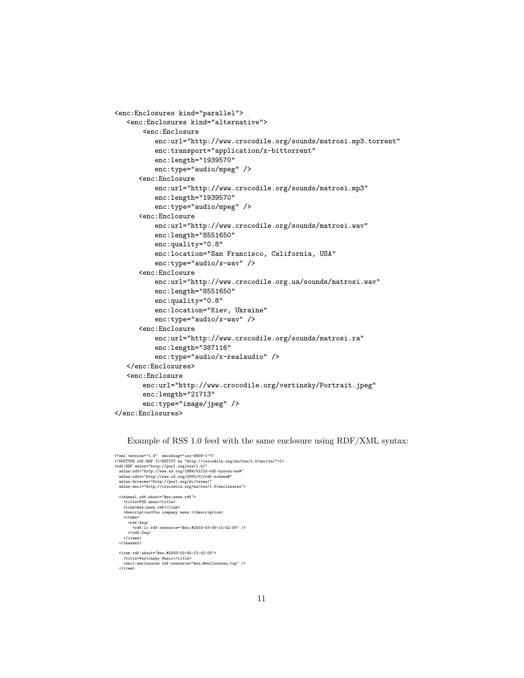```
<enc:Enclosures kind="parallel">
   <enc:Enclosures kind="alternative">
       <enc:Enclosure
          enc:url="http://www.crocodile.org/sounds/matrosi.mp3.torrent"
          enc:transport="application/x-bittorrent"
          enc:length="1939570"
          enc:type="audio/mpeg" />
      <enc:Enclosure
         enc:url="http://www.crocodile.org/sounds/matrosi.mp3"
         enc:length="1939570"
         enc:type="audio/mpeg" />
      <enc:Enclosure
          enc:url="http://www.crocodile.org/sounds/matrosi.wav"
          enc:length="8551650"
         enc:quality="0.8"
          enc:location="San Francisco, California, USA"
          enc:type="audio/x-wav" />
      <enc:Enclosure
         enc:url="http://www.crocodile.org.ua/sounds/matrosi.wav"
          enc:length="8551650"
         enc:quality="0.8"
         enc:location="Kiev, Ukraine"
         enc:type="audio/x-wav" />
      <enc:Enclosure
         enc:url="http://www.crocodile.org/sounds/matrosi.ra"
          enc:length="387116"
          enc:type="audio/x-realaudio" />
  </enc:Enclosures>
   <enc:Enclosure
      enc:url="http://www.crocodile.org/vertinsky/Portrait.jpeg"
      enc:length="21713"
      enc:type="image/jpeg" />
</enc:Enclosures>
```
#### Example of RSS 1.0 feed with the same enclosure using RDF/XML syntax:

```
<?xml version="1.0" encoding="iso-8859-1"?>
<!DOCTYPE rdf:RDF [<!ENTITY ex "http://crocodile.org/ns/rss/1.0/enc/ex/">]>
<rdf:RDF xmlns="http://purl.org/rss/1.0/"
xmlns:rdf="http://www.w3.org/1999/02/22-rdf-syntax-ns#"
xmlns:rdfs="http://www.w3.org/2000/01/rdf-schema#"
xmlns:dcterms="http://purl.org/dc/terms/"
xmlns:enc1="http://crocodile.org/ns/rss/1.0/enclosures">
    <channel rdf:about="&ex;news.rdf">
<title>FOO news</title>
        <link>&ex;news.rdf</link>
         <description>Foo company news.</description>
<items>
<rdf:Seq>
                <rdf:li rdf:resource="&ex;#2003-03-05-13:42:00" />
    </rdf:Seq>
</items>
</channel>
    <item rdf:about="&ex;#2003-03-05-13:42:00">
<title>Vertinsky Music</title>
<enc1:enclosures rdf:resource="&ex;#enclosures_top" />
   </item>
```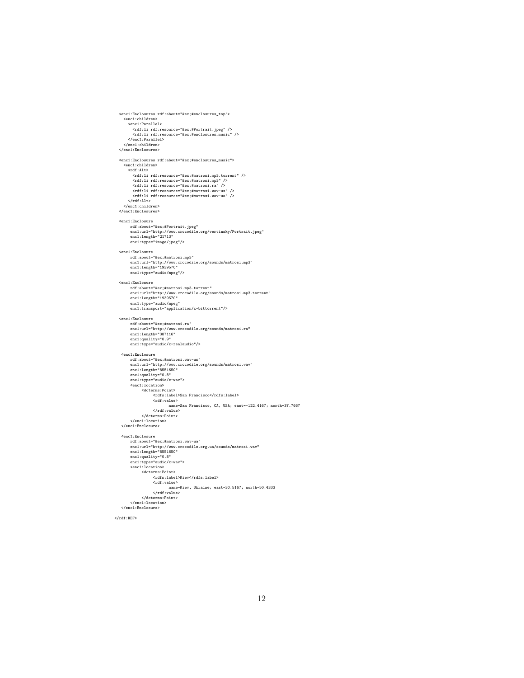```
<enc1:Enclosures rdf:about="&ex;#enclosures_top">
     <enc1:children>
<enc1:Parallel>
             <rdf:li rdf:resource="&ex;#Portrait.jpeg" />
<rdf:li rdf:resource="&ex;#enclosures_music" />
 </enc1:Parallel>
</enc1:children>
</enc1:Enclosures>
 <enc1:Enclosures rdf:about="&ex;#enclosures_music">
<enc1:children>
<rdf:Alt>
             <rdf:li rdf:resource="&ex;#matrosi.mp3.torrent" /><br><rdf:li rdf:resource="&ex;#matrosi.mp3" /><br><rdf:li rdf:resource="&ex;#matrosi.na" /><br><rdf:li rdf:resource="&ex;#matrosi.ra" /><br><rdf:li rdf:resource="&ex;#matrosi.wav-ua" /
 </rdf:Alt>
</enc1:children>
</enc1:Enclosures>
 <enc1:Enclosure
rdf:about="&ex;#Portrait.jpeg"
enc1:url="http://www.crocodile.org/vertinsky/Portrait.jpeg"
enc1:length="21713"
enc1:type="image/jpeg"/>
<enc1:Enclosure
           rdf:about="&ex;#matrosi.mp3"
enc1:url="http://www.crocodile.org/sounds/matrosi.mp3"
enc1:length="1939570"
enc1:type="audio/mpeg"/>
 %enc1:Enclosure<br>
rdf:about="&ex;#matrosi.mp3.torrent"<br>
enc1:url="http://www.crocodile.org/sounds/matrosi.mp3.torrent"<br>
enc1:tength="1939570"<br>
enc1:type="audio/mpeg"<br>
enc1:transport="application/x-bittorrent"/>
 <enc1:Enclosure
           rdf:about="&ex;#matrosi.ra"
enc1:url="http://www.crocodile.org/sounds/matrosi.ra"
enc1:length="387116"
enc1:quality="0.9"
enc1:type="audio/x-realaudio"/>
   <enc1:Enclosure"&ex;#matrosi.wav-us"<br>
enc1:url="http://www.crocodile.org/sounds/matrosi.wav"<br>
enc1:url="http://www.crocodile.org/sounds/matrosi.wav"<br>
enc1:location>"651650"<br>
enc1:type="audio/x-wav"><br>
<enc1:location>
                      <dcterms:Point>
<rdfs:label>San Francisco</rdfs:label>
<rdf:value>
                                             name=San Francisco, CA, USA; east=-122.4167; north=37.7667
                              </rdf:value>
           </dcterms:Point>
</enc1:location>
  </enc1:Enclosure>
   <enc1:Enclosure
rdf:about="&ex;#matrosi.wav-ua"
           enc1:url="http://www.crocodile.org.ua/sounds/matrosi.wav"
enc1:length="8551650"
enc1:quality="0.8"
           enc1:type="audio/x-wav">
<enc1:location>
<dcterms:Point>
                              <rdfs:label>Kiev</rdfs:label>
                              <rdf:value>
                                name=Kiev, Ukraine; east=30.5167; north=50.4333
</rdf:value>
           </dcterms:Point>
</enc1:location>
  </enc1:Enclosure>
```
 $\langle \text{rdf:RDF} \rangle$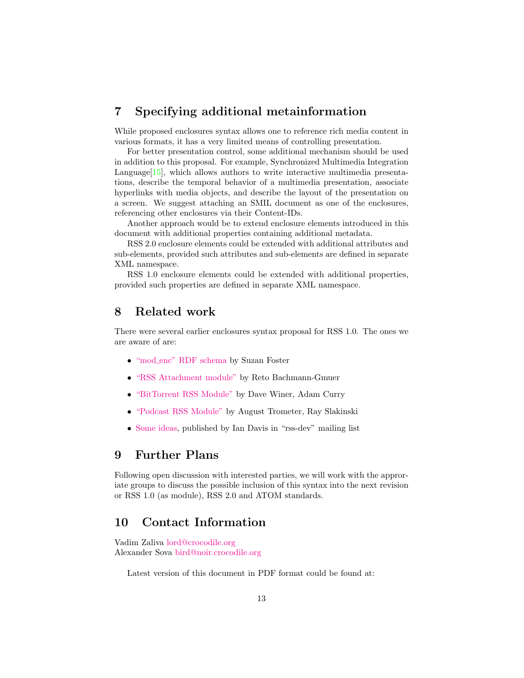### <span id="page-12-0"></span>7 Specifying additional metainformation

While proposed enclosures syntax allows one to reference rich media content in various formats, it has a very limited means of controlling presentation.

For better presentation control, some additional mechanism should be used in addition to this proposal. For example, Synchronized Multimedia Integration Language<sup>[\[15\]](#page-13-7)</sup>, which allows authors to write interactive multimedia presentations, describe the temporal behavior of a multimedia presentation, associate hyperlinks with media objects, and describe the layout of the presentation on a screen. We suggest attaching an SMIL document as one of the enclosures, referencing other enclosures via their Content-IDs.

Another approach would be to extend enclosure elements introduced in this document with additional properties containing additional metadata.

RSS 2.0 enclosure elements could be extended with additional attributes and sub-elements, provided such attributes and sub-elements are defined in separate XML namespace.

RSS 1.0 enclosure elements could be extended with additional properties, provided such properties are defined in separate XML namespace.

### <span id="page-12-1"></span>8 Related work

There were several earlier enclosures syntax proposal for RSS 1.0. The ones we are aware of are:

- "mod [enc" RDF schema](http://purl.oclc.org/net/rss_2.0/enc) by Suzan Foster
- ["RSS Attachment module"](http://wymiwyg.org/ontologies/rss/attach) by Reto Bachmann-Gmuer
- ["BitTorrent RSS Module"](http://www.reallysimplesyndication.com/bitTorrentRssModule) by Dave Winer, Adam Curry
- ["Podcast RSS Module"](http://ipodderx.com/podcastRSSModule) by August Trometer, Ray Slakinski
- [Some ideas,](http://groups.yahoo.com/group/rss-dev/message/6698) published by Ian Davis in "rss-dev" mailing list

### <span id="page-12-2"></span>9 Further Plans

Following open discussion with interested parties, we will work with the approriate groups to discuss the possible inclusion of this syntax into the next revision or RSS 1.0 (as module), RSS 2.0 and ATOM standards.

### <span id="page-12-3"></span>10 Contact Information

Vadim Zaliva [lord@crocodile.org](mailto:lord@crocodile.org) Alexander Sova [bird@noir.crocodile.org](mailto:bird@noir.crocodile.org)

Latest version of this document in PDF format could be found at: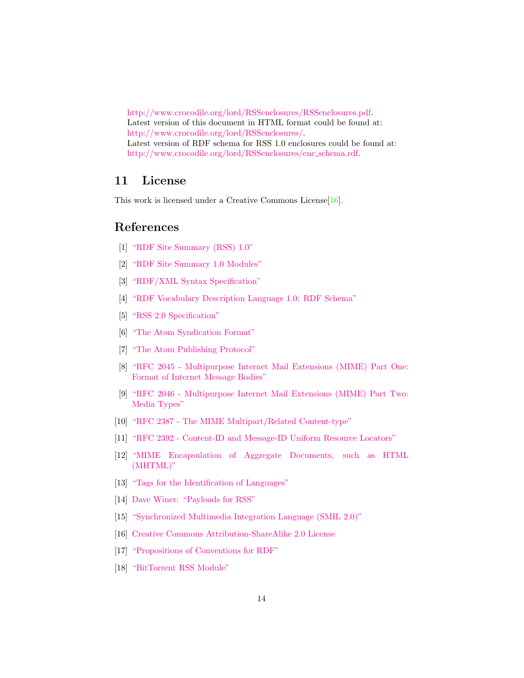[http://www.crocodile.org/lord/RSSenclosures/RSSenclosures.pdf.](http://www.crocodile.org/lord/RSSenclosures/RSSenclosures.pdf) Latest version of this document in HTML format could be found at: [http://www.crocodile.org/lord/RSSenclosures/.](http://www.crocodile.org/lord/RSSenclosures/) Latest version of RDF schema for RSS 1.0 enclosures could be found at: [http://www.crocodile.org/lord/RSSenclosures/enc](http://www.crocodile.org/lord/RSSenclosures/enc_schema.rdf) schema.rdf.

### <span id="page-13-0"></span>11 License

This work is licensed under a Creative Commons License[\[16\]](#page-13-8).

### References

- <span id="page-13-2"></span>[1] ["RDF Site Summary \(RSS\) 1.0"](http://web.resource.org/rss/1.0/spec)
- [2] ["RDF Site Summary 1.0 Modules"](http://web.resource.org/rss/1.0/modules/)
- [3] ["RDF/XML Syntax Specification"](http://www.w3.org/TR/rdf-syntax-grammar/)
- <span id="page-13-5"></span>[4] ["RDF Vocabulary Description Language 1.0: RDF Schema"](http://www.w3.org/TR/rdf-schema/)
- <span id="page-13-1"></span>[5] ["RSS 2.0 Specification"](http://blogs.law.harvard.edu/tech/rss)
- <span id="page-13-6"></span>[6] ["The Atom Syndication Format"](http://www.ietf.org/internet-drafts/draft-ietf-atompub-format-03.txt)
- [7] ["The Atom Publishing Protocol"](http://www.ietf.org/internet-drafts/draft-ietf-atompub-protocol-02.txt)
- [8] ["RFC 2045 Multipurpose Internet Mail Extensions \(MIME\) Part One:](http://www.faqs.org/rfcs/rfc2045.html) [Format of Internet Message Bodies"](http://www.faqs.org/rfcs/rfc2045.html)
- <span id="page-13-3"></span>[9] ["RFC 2046 - Multipurpose Internet Mail Extensions \(MIME\) Part Two:](http://www.faqs.org/rfcs/rfc2046.html) [Media Types"](http://www.faqs.org/rfcs/rfc2046.html)
- [10] ["RFC 2387 The MIME Multipart/Related Content-type"](http://www.ietf.org/rfc/rfc2387.txt)
- <span id="page-13-4"></span>[11] ["RFC 2392 - Content-ID and Message-ID Uniform Resource Locators"](http://www.ietf.org/rfc/rfc2392.txt)
- [12] ["MIME Encapsulation of Aggregate Documents, such as HTML](http://www.ietf.org/rfc/rfc2557.txt) [\(MHTML\)"](http://www.ietf.org/rfc/rfc2557.txt)
- [13] ["Tags for the Identification of Languages"](http://www.ietf.org/rfc/rfc1766.txt)
- [14] [Dave Winer: "Payloads for RSS"](http://www.thetwowayweb.com/payloadsforrss)
- <span id="page-13-7"></span>[15] ["Synchronized Multimedia Integration Language \(SMIL 2.0\)"](http://www.w3.org/TR/smil20/)
- <span id="page-13-8"></span>[16] [Creative Commons Attribution-ShareAlike 2.0 License](http://creativecommons.org/licenses/by-sa/2.0/)
- <span id="page-13-9"></span>[17] ["Propositions of Conventions for RDF"](http://www-sop.inria.fr/acacia/personnel/phmartin/RDF/conventions.html)
- [18] ["BitTorrent RSS Module"](http://www.reallysimplesyndication.com/bitTorrentRssModule)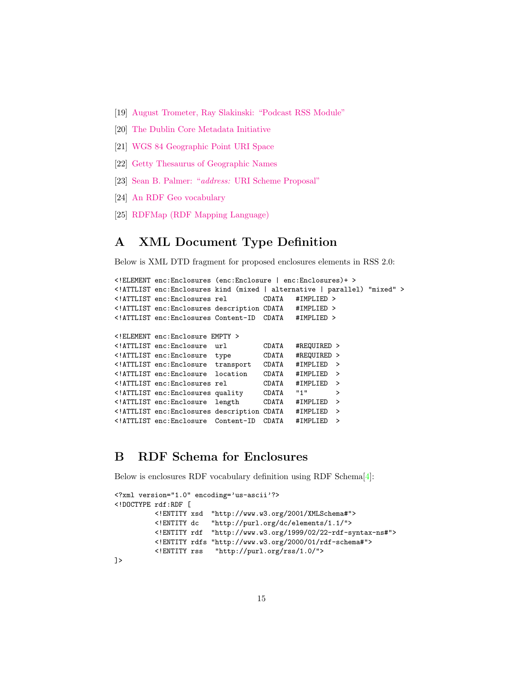- [19] [August Trometer, Ray Slakinski: "Podcast RSS Module"](http://ipodderx.com/podcastRSSModule)
- [20] [The Dublin Core Metadata Initiative](http://dublincore.org/)
- [21] [WGS 84 Geographic Point URI Space](http://placetime.com/geopoint/wgs84/)
- [22] [Getty Thesaurus of Geographic Names](http://www.getty.edu/research/conducting_research/vocabularies/tgn/index.html)
- [23] Sean B. Palmer: "address: [URI Scheme Proposal"](http://infomesh.net/2001/03/address/)
- [24] [An RDF Geo vocabulary](http://www.w3.org/2003/01/geo/)
- [25] [RDFMap \(RDF Mapping Language\)](http://fabl.net/lib/geography/map/1.1/index.html)

### <span id="page-14-0"></span>A XML Document Type Definition

Below is XML DTD fragment for proposed enclosures elements in RSS 2.0:

```
<!ELEMENT enc:Enclosures (enc:Enclosure | enc:Enclosures)+ >
<!ATTLIST enc:Enclosures kind (mixed | alternative | parallel) "mixed" >
<!ATTLIST enc:Enclosures rel CDATA #IMPLIED >
<!ATTLIST enc:Enclosures description CDATA #IMPLIED >
<!ATTLIST enc:Enclosures Content-ID CDATA #IMPLIED >
<!ELEMENT enc:Enclosure EMPTY >
<!ATTLIST enc:Enclosure url CDATA #REQUIRED >
\le!ATTLIST enc:Enclosure type
<!ATTLIST enc:Enclosure transport CDATA #IMPLIED >
<!ATTLIST enc:Enclosure location CDATA #IMPLIED >
%\that inc:Enclosures rel CDATA #IMPERPRIENT enc:Enclosures quality CDATA ...
<!ATTLIST enc:Enclosures quality CDATA "1" >
<!ATTLIST enc:Enclosure length CDATA #IMPLIED >
<!ATTLIST enc:Enclosures description CDATA #IMPLIED >
<!ATTLIST enc:Enclosure Content-ID CDATA #IMPLIED >
```
### <span id="page-14-1"></span>B RDF Schema for Enclosures

Below is enclosures RDF vocabulary definition using RDF Schema[\[4\]](#page-13-5):

```
<?xml version="1.0" encoding='us-ascii'?>
<!DOCTYPE rdf:RDF [
         <!ENTITY xsd "http://www.w3.org/2001/XMLSchema#">
          <!ENTITY dc "http://purl.org/dc/elements/1.1/">
          <!ENTITY rdf "http://www.w3.org/1999/02/22-rdf-syntax-ns#">
          <!ENTITY rdfs "http://www.w3.org/2000/01/rdf-schema#">
          <!ENTITY rss "http://purl.org/rss/1.0/">
]>
```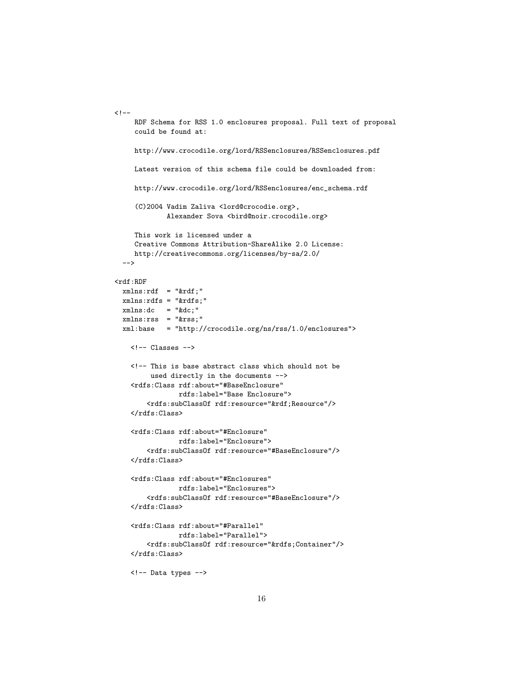```
<! -RDF Schema for RSS 1.0 enclosures proposal. Full text of proposal
     could be found at:
     http://www.crocodile.org/lord/RSSenclosures/RSSenclosures.pdf
     Latest version of this schema file could be downloaded from:
     http://www.crocodile.org/lord/RSSenclosures/enc_schema.rdf
     (C)2004 Vadim Zaliva <lord@crocodie.org>,
             Alexander Sova <br/> <br/> <br/>Alexander Sova <br/><br/>\textsc{cyc}This work is licensed under a
     Creative Commons Attribution-ShareAlike 2.0 License:
     http://creativecommons.org/licenses/by-sa/2.0/
  -->
<rdf:RDF
 xmlns: rdf = "krdf;"xmlns:rdfs = "&rdfs;"
 xmlns:dc = "kdc;"xmlns:rss = "&rss;"
  xml:base = "http://crocodile.org/ns/rss/1.0/enclosures">
   <!-- Classes -->
    <!-- This is base abstract class which should not be
         used directly in the documents -->
    <rdfs:Class rdf:about="#BaseEnclosure"
                rdfs:label="Base Enclosure">
        <rdfs:subClassOf rdf:resource="&rdf;Resource"/>
    \langlerdfs:Class>
    <rdfs:Class rdf:about="#Enclosure"
                rdfs:label="Enclosure">
        <rdfs:subClassOf rdf:resource="#BaseEnclosure"/>
    </rdfs:Class>
    <rdfs:Class rdf:about="#Enclosures"
                rdfs:label="Enclosures">
        <rdfs:subClassOf rdf:resource="#BaseEnclosure"/>
    \langlerdfs:Class>
    <rdfs:Class rdf:about="#Parallel"
                rdfs:label="Parallel">
        <rdfs:subClassOf rdf:resource="&rdfs;Container"/>
    \langlerdfs:Class>
    <!-- Data types -->
```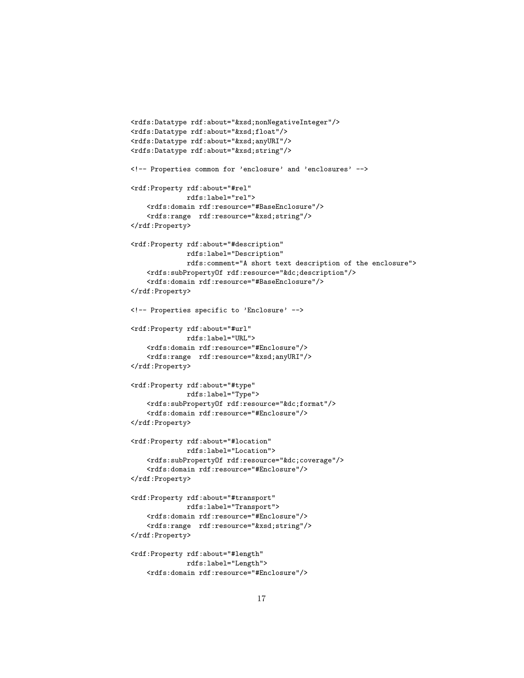```
<rdfs:Datatype rdf:about="&xsd;nonNegativeInteger"/>
<rdfs:Datatype rdf:about="&xsd;float"/>
<rdfs:Datatype rdf:about="&xsd;anyURI"/>
<rdfs:Datatype rdf:about="&xsd;string"/>
<!-- Properties common for 'enclosure' and 'enclosures' -->
<rdf:Property rdf:about="#rel"
             rdfs:label="rel">
    <rdfs:domain rdf:resource="#BaseEnclosure"/>
    <rdfs:range rdf:resource="&xsd;string"/>
</rdf:Property>
<rdf:Property rdf:about="#description"
              rdfs:label="Description"
              rdfs:comment="A short text description of the enclosure">
    <rdfs:subPropertyOf rdf:resource="&dc;description"/>
    <rdfs:domain rdf:resource="#BaseEnclosure"/>
</rdf:Property>
<!-- Properties specific to 'Enclosure' -->
<rdf:Property rdf:about="#url"
              rdfs:label="URL">
    <rdfs:domain rdf:resource="#Enclosure"/>
    <rdfs:range rdf:resource="&xsd;anyURI"/>
</rdf:Property>
<rdf:Property rdf:about="#type"
              rdfs:label="Type">
    <rdfs:subPropertyOf rdf:resource="&dc;format"/>
    <rdfs:domain rdf:resource="#Enclosure"/>
</rdf:Property>
<rdf:Property rdf:about="#location"
              rdfs:label="Location">
    <rdfs:subPropertyOf rdf:resource="&dc;coverage"/>
    <rdfs:domain rdf:resource="#Enclosure"/>
</rdf:Property>
<rdf:Property rdf:about="#transport"
             rdfs:label="Transport">
    <rdfs:domain rdf:resource="#Enclosure"/>
    <rdfs:range rdf:resource="&xsd;string"/>
</rdf:Property>
<rdf:Property rdf:about="#length"
              rdfs:label="Length">
    <rdfs:domain rdf:resource="#Enclosure"/>
```